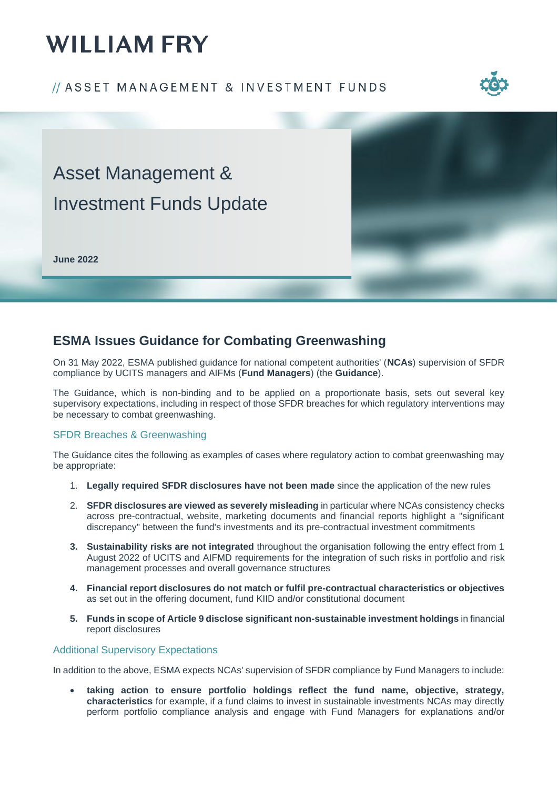# **WILLIAM FRY**

### // ASSET MANAGEMENT & INVESTMENT FUNDS





### **ESMA Issues Guidance for Combating Greenwashing**

On 31 May 2022, ESMA published guidance for national competent authorities' (**NCAs**) supervision of SFDR compliance by UCITS managers and AIFMs (**Fund Managers**) (the **Guidance**).

The Guidance, which is non-binding and to be applied on a proportionate basis, sets out several key supervisory expectations, including in respect of those SFDR breaches for which regulatory interventions may be necessary to combat greenwashing.

#### SFDR Breaches & Greenwashing

The Guidance cites the following as examples of cases where regulatory action to combat greenwashing may be appropriate:

- 1. **Legally required SFDR disclosures have not been made** since the application of the new rules
- 2. **SFDR disclosures are viewed as severely misleading** in particular where NCAs consistency checks across pre-contractual, website, marketing documents and financial reports highlight a "significant discrepancy" between the fund's investments and its pre-contractual investment commitments
- **3. Sustainability risks are not integrated** throughout the organisation following the entry effect from 1 August 2022 of UCITS and AIFMD requirements for the integration of such risks in portfolio and risk management processes and overall governance structures
- **4. Financial report disclosures do not match or fulfil pre-contractual characteristics or objectives**  as set out in the offering document, fund KIID and/or constitutional document
- **5. Funds in scope of Article 9 disclose significant non-sustainable investment holdings** in financial report disclosures

#### Additional Supervisory Expectations

In addition to the above, ESMA expects NCAs' supervision of SFDR compliance by Fund Managers to include:

• **taking action to ensure portfolio holdings reflect the fund name, objective, strategy, characteristics** for example, if a fund claims to invest in sustainable investments NCAs may directly perform portfolio compliance analysis and engage with Fund Managers for explanations and/or